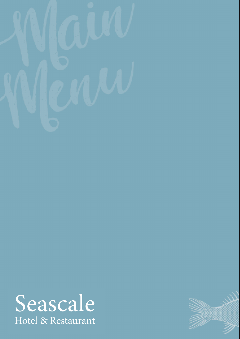



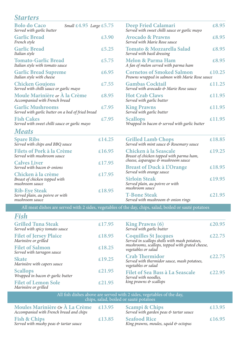#### *Starters*

| <b>Bolo do Caco</b><br>Small $\text{\pounds}4.95$ Large $\text{\pounds}5.75$<br>Served with garlic butter |        | <b>Deep Fried Calamari</b><br>Served with sweet chilli sauce or garlic mayo         | £8.95  |
|-----------------------------------------------------------------------------------------------------------|--------|-------------------------------------------------------------------------------------|--------|
| <b>Garlic Bread</b><br>French style                                                                       | £3.90  | <b>Avocado &amp; Prawns</b><br>Served with Marie Rose sauce                         | £8.95  |
| <b>Garlic Bread</b><br>Italian style                                                                      | £5.25  | <b>Tomato &amp; Mozzarella Salad</b><br>Served with basil dressing                  | £8.95  |
| <b>Tomato-Garlic Bread</b><br>Italian style with tomato sauce                                             | £5.75  | <b>Melon &amp; Parma Ham</b><br>A fan of melon served with parma ham                | £8.95  |
| <b>Garlic Bread Supreme</b><br>Italian style with cheese                                                  | £6.95  | <b>Cornetos of Smoked Salmon</b><br>Prawns wrapped in salmon with Marie Rose sauce  | £10.25 |
| <b>Chicken Goujons</b><br>Served with chilli sauce or garlic mayo                                         | £7.55  | <b>Gambas Cocktail</b><br>Served with avocado & Marie Rose sauce                    | £11.25 |
| Moule Marinière or À la Crème<br>Accompanied with French bread                                            | £8.95  | <b>Hot Crab Claws</b><br>Served with garlic butter                                  | £11.95 |
| <b>Garlic Mushrooms</b><br>Served with garlic butter on a bed of fried bread                              | £7.95  | <b>King Prawns</b><br>Served with garlic butter                                     | £11.95 |
| <b>Fish Cakes</b><br>Served with sweet chilli sauce or garlic mayo                                        | £7.95  | <b>Scallops</b><br>Wrapped in bacon & served with garlic butter                     | £11.95 |
| <b>Meats</b>                                                                                              |        |                                                                                     |        |
| <b>Spare Ribs</b><br>Served with chips and BBQ sauce                                                      | £14.25 | <b>Grilled Lamb Chops</b><br>Served with mint sauce $\mathfrak{S}$ Rosemary sauce   | £18.85 |
| <b>Filets of Pork à la Crème</b><br>Served with mushroom sauce                                            | £16.95 | Chicken à la Seascale<br>Breast of chicken topped with parma ham,                   | £19.25 |
| <b>Calves Liver</b><br>Served with bacon & onions                                                         | £17.95 | cheese, asparagus & mushroom sauce<br><b>Breast of Duck à L'Orange</b>              | £18.95 |
| Chicken à la crème<br>Breast of chicken topped with<br>mushroom sauce                                     | £17.95 | Served with orange sauce<br><b>Sirloin Steak</b><br>Served plain, au poivre or with | £19.95 |
| <b>Rib-Eye Steak</b><br>Served plain, au poivre or with<br>mushroom sauce                                 | £18.95 | mushroom sauce<br><b>T-Bone Steak</b><br>Served with mushroom & onion rings         | £21.95 |

All meat dishes are served with 2 sides, vegetables of the day, chips, salad, boiled or sauté potatoes

# *Fish*

| <b>Grilled Tuna Steak</b><br>Served with spicy tomato sauce | £17.95 | <b>King Prawns (6)</b><br>£20.95<br>Served with garlic butter                                         |
|-------------------------------------------------------------|--------|-------------------------------------------------------------------------------------------------------|
| <b>Filet of Jersey Plaice</b><br>Marinière or grilled       | £18.95 | <b>Coquilles St Jacques</b><br>£22.75<br>Served in scallops shells with mash potatoes,                |
| <b>Filet of Salmon</b><br>Served with tarragon sauce        | £18.25 | mushrooms, scallops, topped with grated cheese,<br>vegetables or salad                                |
| <b>Skate</b><br>Marinière with capers sauce                 | £19.25 | <b>Crab Thermidor</b><br>£22.75<br>Served with thermidor sauce, mash potatoes,<br>vegetables or salad |
| <b>Scallops</b><br>Wrapped in bacon & garlic butter         | £21.95 | <b>Filet of Sea Bass à La Seascale</b><br>£22.95<br>Served with noodles,                              |
| <b>Filet of Lemon Sole</b><br>Marinière or grilled          | £21.95 | king prawns & scallops                                                                                |

All fish dishes above are served with 2 sides, vegetables of the day, chips, salad, boiled or sauté potatoes

| Moules Marinière Or $\hat{A}$ La Crème £13.95<br>Accompanied with French bread and chips |        | <b>Scampi &amp; Chips</b><br>Served with garden peas & tartar sauce | £13.95 |
|------------------------------------------------------------------------------------------|--------|---------------------------------------------------------------------|--------|
| <b>Fish &amp; Chips</b><br>Served with mushy peas & tartar sauce                         | £13.85 | <b>Seafood Rice</b><br>King prawns, moules, squid & octopus         | £16.95 |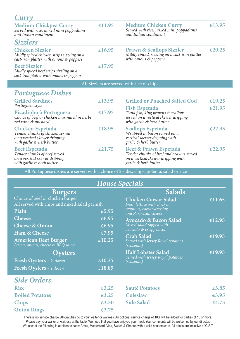| Curry                                                                                                           |        |                                                                                                                |                                                   |
|-----------------------------------------------------------------------------------------------------------------|--------|----------------------------------------------------------------------------------------------------------------|---------------------------------------------------|
| <b>Medium Chickpea Curry</b><br>Served with rice, mixed mini poppadums<br>and Indian condiment                  | £11.95 | <b>Medium Chicken Curry</b><br>Served with rice, mixed mini poppadums<br>and Indian condiment                  | £13.95                                            |
| <b>Sizzlers</b>                                                                                                 |        |                                                                                                                |                                                   |
| <b>Chicken Sizzler</b><br>Mildly spiced chicken strips sizzling on a<br>cast-iron platter with onions & peppers | £16.95 | <b>Prawn &amp; Scallops Sizzler</b><br>Mildly spiced, sizzling on a cast-iron platter<br>with onions & peppers | $\textcolor{blue}{\boldsymbol{\mathcal{L}}20.25}$ |
| <b>Beef Sizzler</b><br>$1.7 \cdot 1.1$ $1.1 \cdot 1.1$ $1.1 \cdot 1.1$                                          | £17.95 |                                                                                                                |                                                   |

*Mildly spiced beef strips sizzling on a cast-iron platter with onions & peppers*

All Sizzlers are served with rice or chips

#### *Portuguese Dishes*

| <b>Grilled Sardines</b>                                                                                                                                | £13.95                                                     | <b>Grilled or Poached Salted Cod</b>                                                                                                      | £19.25         |
|--------------------------------------------------------------------------------------------------------------------------------------------------------|------------------------------------------------------------|-------------------------------------------------------------------------------------------------------------------------------------------|----------------|
| Portuguese style<br>Picadinho à Portuguesa<br>Choice of beef or chicken marinated in herbs,<br>red wine & mustard                                      | £17.95                                                     | <b>Fish Espetada</b><br>Tuna fish, king prawns & scallops<br>served on a vertical skewer dripping<br>with garlic & herb butter            | $\pounds21.95$ |
| <b>Chicken Espetada</b><br>Tender chunks of chicken served<br>on a vertical skewer dripping<br>with garlic & herb butter                               | £18.95                                                     | <b>Scallops Espetada</b><br>Wrapped in bacon served on a<br>vertical skewer dripping with<br>garlic & herb butter                         | $\pounds22.95$ |
| <b>Beef Espetada</b><br>Tender chunks of beef served<br>on a vertical skewer dripping<br>with garlic $\overset{\leftrightarrow}{\diamond}$ herb butter | $\textcolor{blue}{\boldsymbol{\mathcal{L}}}\mathbf{21.75}$ | <b>Beef &amp; Prawn Espetada</b><br>Tender chunks of beef and prawns served<br>on a vertical skewer dripping with<br>garlic & herb butter | £22.95         |

All Portuguese dishes are served with a choice of 2 sides, chips, polenta, salad or rice

### *House Specials*

| <b>Burgers</b>                                                                    |        | <b>Salads</b>                                              |        |  |
|-----------------------------------------------------------------------------------|--------|------------------------------------------------------------|--------|--|
| Choice of beef or chicken burger<br>All served with chips and mixed salad garnish |        | <b>Chicken Caesar Salad</b><br>Fresh lettuce with chicken, | £11.65 |  |
| Plain                                                                             | £5.95  | croutons, caesar dressing<br>and Parmesan cheese           |        |  |
| <b>Cheese</b>                                                                     | £6.95  | <b>Avocado &amp; Bacon Salad</b>                           | €12.95 |  |
| <b>Cheese &amp; Onion</b>                                                         | £6.95  | Mixed salad topped with<br>avocado $\&$ crispy bacon       |        |  |
| Ham & Cheese                                                                      | £7.95  | <b>Crab Salad</b>                                          | £19.95 |  |
| <b>American Beef Burger</b><br>Bacon, onions, cheese & BBQ sauce                  | £10.25 | Served with Jersey Royal potatoes<br>(seasonal)            |        |  |
| <b>Oysters</b>                                                                    |        | <b>Half Lobster Salad</b>                                  | £19.95 |  |
| Fresh Oysters - 1/2 dozen                                                         | £10.25 | Served with Jersey Royal potatoes<br>(seasonal)            |        |  |
| Fresh Oysters - 1 dozen                                                           | £18.85 |                                                            |        |  |
|                                                                                   |        |                                                            |        |  |

#### *Side Orders*

| <b>Rice</b>            | £3,25                                                     | <b>Sauté Potatoes</b> | £3.85          |
|------------------------|-----------------------------------------------------------|-----------------------|----------------|
| <b>Boiled Potatoes</b> | £3.25                                                     | <b>Coleslaw</b>       | $\pounds$ 3.95 |
| <b>Chips</b>           | £3.50                                                     | <b>Side Salad</b>     | £4.75          |
| <b>Onion Rings</b>     | $\textcolor{blue}{\boldsymbol{\mathcal{L}}\mathbf{3.75}}$ |                       |                |

There is no service charge. All gratuties go to your waiter or waitress. An optional service charge of 10% will be added for parties of 10 or more. Please pay your waiter or waitress at the table. We hope that you have enjoyed your meal. Your comments will be welcomed by our director. We accept the following in addition to cash: Amex, Mastercard, Visa, Switch & Cheque with a valid bankers card. All prices are inclusive of G.S.T